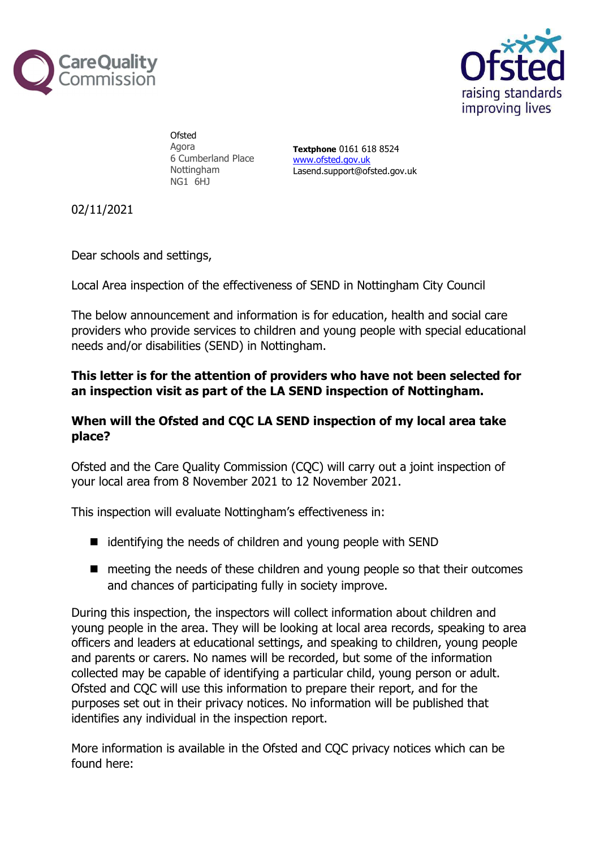



**Ofsted** Agora 6 Cumberland Place Nottingham NG1 6HJ

Textphone 0161 618 8524 www.ofsted.gov.uk Lasend.support@ofsted.gov.uk

02/11/2021

Dear schools and settings,

Local Area inspection of the effectiveness of SEND in Nottingham City Council

The below announcement and information is for education, health and social care providers who provide services to children and young people with special educational needs and/or disabilities (SEND) in Nottingham.

## This letter is for the attention of providers who have not been selected for an inspection visit as part of the LA SEND inspection of Nottingham.

## When will the Ofsted and CQC LA SEND inspection of my local area take place?

Ofsted and the Care Quality Commission (CQC) will carry out a joint inspection of your local area from 8 November 2021 to 12 November 2021.

This inspection will evaluate Nottingham's effectiveness in:

- $\blacksquare$  identifying the needs of children and young people with SEND
- meeting the needs of these children and young people so that their outcomes and chances of participating fully in society improve.

During this inspection, the inspectors will collect information about children and young people in the area. They will be looking at local area records, speaking to area officers and leaders at educational settings, and speaking to children, young people and parents or carers. No names will be recorded, but some of the information collected may be capable of identifying a particular child, young person or adult. Ofsted and CQC will use this information to prepare their report, and for the purposes set out in their privacy notices. No information will be published that identifies any individual in the inspection report.

More information is available in the Ofsted and CQC privacy notices which can be found here: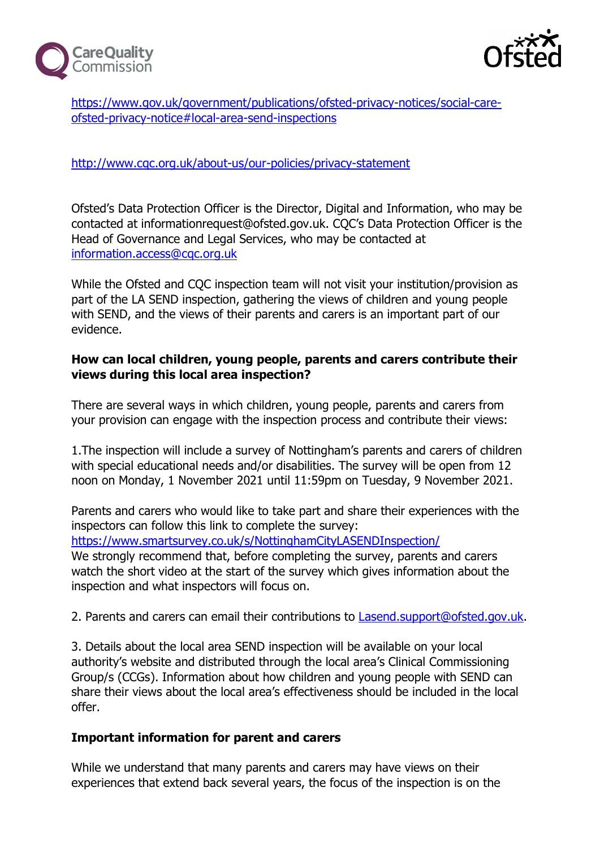



https://www.gov.uk/government/publications/ofsted-privacy-notices/social-careofsted-privacy-notice#local-area-send-inspections

### http://www.cqc.org.uk/about-us/our-policies/privacy-statement

Ofsted's Data Protection Officer is the Director, Digital and Information, who may be contacted at informationrequest@ofsted.gov.uk. CQC's Data Protection Officer is the Head of Governance and Legal Services, who may be contacted at information.access@cqc.org.uk

While the Ofsted and CQC inspection team will not visit your institution/provision as part of the LA SEND inspection, gathering the views of children and young people with SEND, and the views of their parents and carers is an important part of our evidence.

#### How can local children, young people, parents and carers contribute their views during this local area inspection?

There are several ways in which children, young people, parents and carers from your provision can engage with the inspection process and contribute their views:

1.The inspection will include a survey of Nottingham's parents and carers of children with special educational needs and/or disabilities. The survey will be open from 12 noon on Monday, 1 November 2021 until 11:59pm on Tuesday, 9 November 2021.

Parents and carers who would like to take part and share their experiences with the inspectors can follow this link to complete the survey:

https://www.smartsurvey.co.uk/s/NottinghamCityLASENDInspection/ We strongly recommend that, before completing the survey, parents and carers watch the short video at the start of the survey which gives information about the inspection and what inspectors will focus on.

2. Parents and carers can email their contributions to Lasend.support@ofsted.gov.uk.

3. Details about the local area SEND inspection will be available on your local authority's website and distributed through the local area's Clinical Commissioning Group/s (CCGs). Information about how children and young people with SEND can share their views about the local area's effectiveness should be included in the local offer.

# Important information for parent and carers

While we understand that many parents and carers may have views on their experiences that extend back several years, the focus of the inspection is on the